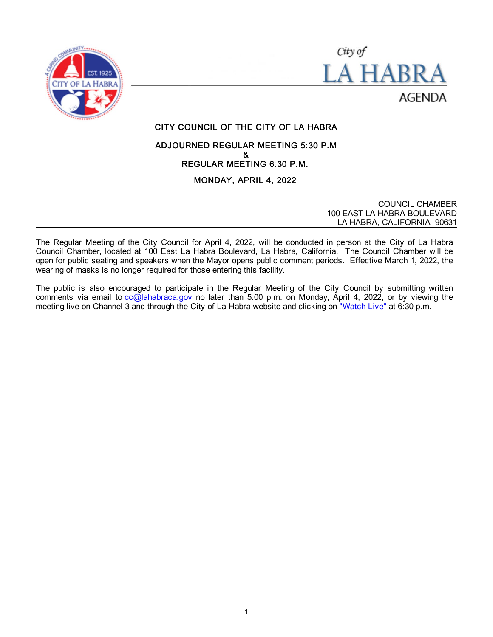



# CITY COUNCIL OF THE CITY OF LA HABRA

# ADJOURNED REGULAR MEETING 5:30 P.M & REGULAR MEETING 6:30 P.M.

# MONDAY, APRIL 4, 2022

COUNCIL CHAMBER 100 EAST LA HABRA BOULEVARD LA HABRA, CALIFORNIA 90631

The Regular Meeting of the City Council for April 4, 2022, will be conducted in person at the City of La Habra Council Chamber, located at 100 East La Habra Boulevard, La Habra, California. The Council Chamber will be open for public seating and speakers when the Mayor opens public comment periods. Effective March 1, 2022, the wearing of masks is no longer required for those entering this facility.

The public is also encouraged to participate in the Regular Meeting of the City Council by submitting written comments via email to  $cc@$  lahabraca.gov no later than 5:00 p.m. on Monday, April 4, 2022, or by viewing the meeting live on Channel 3 and through the City of La Habra website and clicking on ["Watch Live"](http://www.lahabraca.gov/356/Archived-Council-Videos) at 6:30 p.m.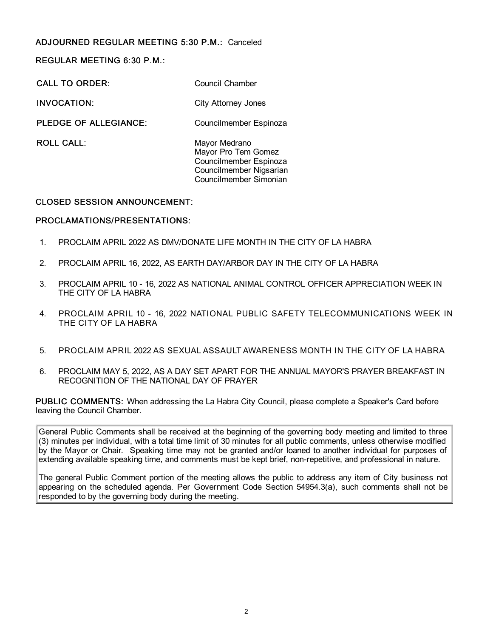# ADJOURNED REGULAR MEETING 5:30 P.M.: Canceled

REGULAR MEETING 6:30 P.M.:

CALL TO ORDER: Council Chamber

INVOCATION: City Attorney Jones

PLEDGE OF ALLEGIANCE: Councilmember Espinoza

ROLL CALL: Mayor Medrano Mayor Pro Tem Gomez Councilmember Espinoza Councilmember Nigsarian Councilmember Simonian

# CLOSED SESSION ANNOUNCEMENT:

# PROCLAMATIONS/PRESENTATIONS:

- 1. PROCLAIM APRIL 2022 AS DMV/DONATE LIFE MONTH IN THE CITY OF LA HABRA
- 2. PROCLAIM APRIL 16, 2022, AS EARTH DAY/ARBOR DAY IN THE CITY OF LA HABRA
- 3. PROCLAIM APRIL 10 16, 2022 AS NATIONAL ANIMAL CONTROL OFFICER APPRECIATION WEEK IN THE CITY OF LA HABRA
- 4. PROCLAIM APRIL 10 16, 2022 NATIONAL PUBLIC SAFETY TELECOMMUNICATIONS WEEK IN THE CITY OF LA HABRA
- 5. PROCLAIM APRIL 2022 AS SEXUAL ASSAULT AWARENESS MONTH IN THE CITY OF LA HABRA
- 6. PROCLAIM MAY 5, 2022, AS A DAY SET APART FOR THE ANNUAL MAYOR'S PRAYER BREAKFAST IN RECOGNITION OF THE NATIONAL DAY OF PRAYER

PUBLIC COMMENTS: When addressing the La Habra City Council, please complete a Speaker's Card before leaving the Council Chamber.

General Public Comments shall be received at the beginning of the governing body meeting and limited to three (3) minutes per individual, with a total time limit of 30 minutes for all public comments, unless otherwise modified by the Mayor or Chair. Speaking time may not be granted and/or loaned to another individual for purposes of extending available speaking time, and comments must be kept brief, non-repetitive, and professional in nature.

The general Public Comment portion of the meeting allows the public to address any item of City business not appearing on the scheduled agenda. Per Government Code Section 54954.3(a), such comments shall not be responded to by the governing body during the meeting.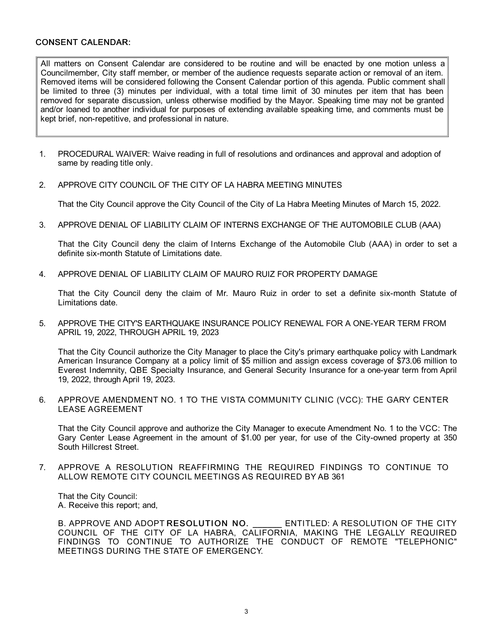#### CONSENT CALENDAR:

All matters on Consent Calendar are considered to be routine and will be enacted by one motion unless a Councilmember, City staff member, or member of the audience requests separate action or removal of an item. Removed items will be considered following the Consent Calendar portion of this agenda. Public comment shall be limited to three (3) minutes per individual, with a total time limit of 30 minutes per item that has been removed for separate discussion, unless otherwise modified by the Mayor. Speaking time may not be granted and/or loaned to another individual for purposes of extending available speaking time, and comments must be kept brief, non-repetitive, and professional in nature.

- 1. PROCEDURAL WAIVER: Waive reading in full of resolutions and ordinances and approval and adoption of same by reading title only.
- 2. APPROVE CITY COUNCIL OF THE CITY OF LA HABRA MEETING MINUTES

That the City Council approve the City Council of the City of La Habra Meeting Minutes of March 15, 2022.

3. APPROVE DENIAL OF LIABILITY CLAIM OF INTERNS EXCHANGE OF THE AUTOMOBILE CLUB (AAA)

That the City Council deny the claim of Interns Exchange of the Automobile Club (AAA) in order to set a definite six-month Statute of Limitations date.

4. APPROVE DENIAL OF LIABILITY CLAIM OF MAURO RUIZ FOR PROPERTY DAMAGE

That the City Council deny the claim of Mr. Mauro Ruiz in order to set a definite six-month Statute of Limitations date.

5. APPROVE THE CITY'S EARTHQUAKE INSURANCE POLICY RENEWAL FOR A ONE-YEAR TERM FROM APRIL 19, 2022, THROUGH APRIL 19, 2023

That the City Council authorize the City Manager to place the City's primary earthquake policy with Landmark American Insurance Company at a policy limit of \$5 million and assign excess coverage of \$73.06 million to Everest Indemnity, QBE Specialty Insurance, and General Security Insurance for a one-year term from April 19, 2022, through April 19, 2023.

6. APPROVE AMENDMENT NO. 1 TO THE VISTA COMMUNITY CLINIC (VCC): THE GARY CENTER LEASE AGREEMENT

That the City Council approve and authorize the City Manager to execute Amendment No. 1 to the VCC: The Gary Center Lease Agreement in the amount of \$1.00 per year, for use of the City-owned property at 350 South Hillcrest Street.

7. APPROVE A RESOLUTION REAFFIRMING THE REQUIRED FINDINGS TO CONTINUE TO ALLOW REMOTE CITY COUNCIL MEETINGS AS REQUIRED BY AB 361

That the City Council: A. Receive this report; and,

B. APPROVE AND ADOPT RESOLUTION NO. ENTITLED: A RESOLUTION OF THE CITY COUNCIL OF THE CITY OF LA HABRA, CALIFORNIA, MAKING THE LEGALLY REQUIRED FINDINGS TO CONTINUE TO AUTHORIZE THE CONDUCT OF REMOTE "TELEPHONIC" MEETINGS DURING THE STATE OF EMERGENCY.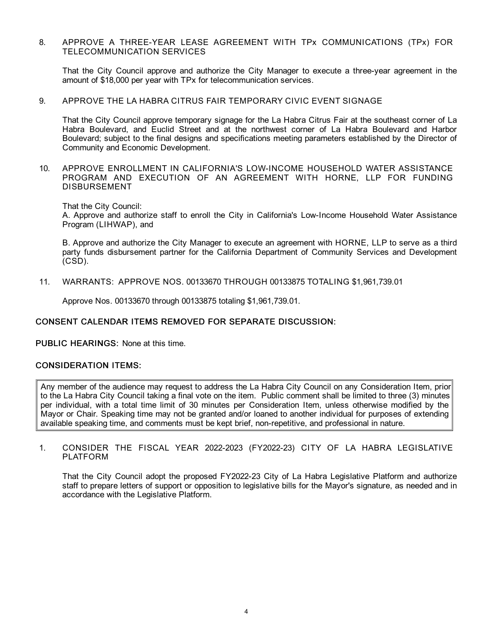#### 8. APPROVE A THREE-YEAR LEASE AGREEMENT WITH TPx COMMUNICATIONS (TPx) FOR TELECOMMUNICATION SERVICES

That the City Council approve and authorize the City Manager to execute a three-year agreement in the amount of \$18,000 per year with TPx for telecommunication services.

#### 9. APPROVE THE LA HABRA CITRUS FAIR TEMPORARY CIVIC EVENT SIGNAGE

That the City Council approve temporary signage for the La Habra Citrus Fair at the southeast corner of La Habra Boulevard, and Euclid Street and at the northwest corner of La Habra Boulevard and Harbor Boulevard; subject to the final designs and specifications meeting parameters established by the Director of Community and Economic Development.

10. APPROVE ENROLLMENT IN CALIFORNIA'S LOW-INCOME HOUSEHOLD WATER ASSISTANCE PROGRAM AND EXECUTION OF AN AGREEMENT WITH HORNE, LLP FOR FUNDING DISBURSEMENT

That the City Council:

A. Approve and authorize staff to enroll the City in California's Low-Income Household Water Assistance Program (LIHWAP), and

B. Approve and authorize the City Manager to execute an agreement with HORNE, LLP to serve as a third party funds disbursement partner for the California Department of Community Services and Development (CSD).

11. WARRANTS: APPROVE NOS. 00133670 THROUGH 00133875 TOTALING \$1,961,739.01

Approve Nos. 00133670 through 00133875 totaling \$1,961,739.01.

# CONSENT CALENDAR ITEMS REMOVED FOR SEPARATE DISCUSSION:

PUBLIC HEARINGS: None at this time.

# CONSIDERATION ITEMS:

Any member of the audience may request to address the La Habra City Council on any Consideration Item, prior to the La Habra City Council taking a final vote on the item. Public comment shall be limited to three (3) minutes per individual, with a total time limit of 30 minutes per Consideration Item, unless otherwise modified by the Mayor or Chair. Speaking time may not be granted and/or loaned to another individual for purposes of extending available speaking time, and comments must be kept brief, non-repetitive, and professional in nature.

1. CONSIDER THE FISCAL YEAR 2022-2023 (FY2022-23) CITY OF LA HABRA LEGISLATIVE PLATFORM

That the City Council adopt the proposed FY2022-23 City of La Habra Legislative Platform and authorize staff to prepare letters of support or opposition to legislative bills for the Mayor's signature, as needed and in accordance with the Legislative Platform.